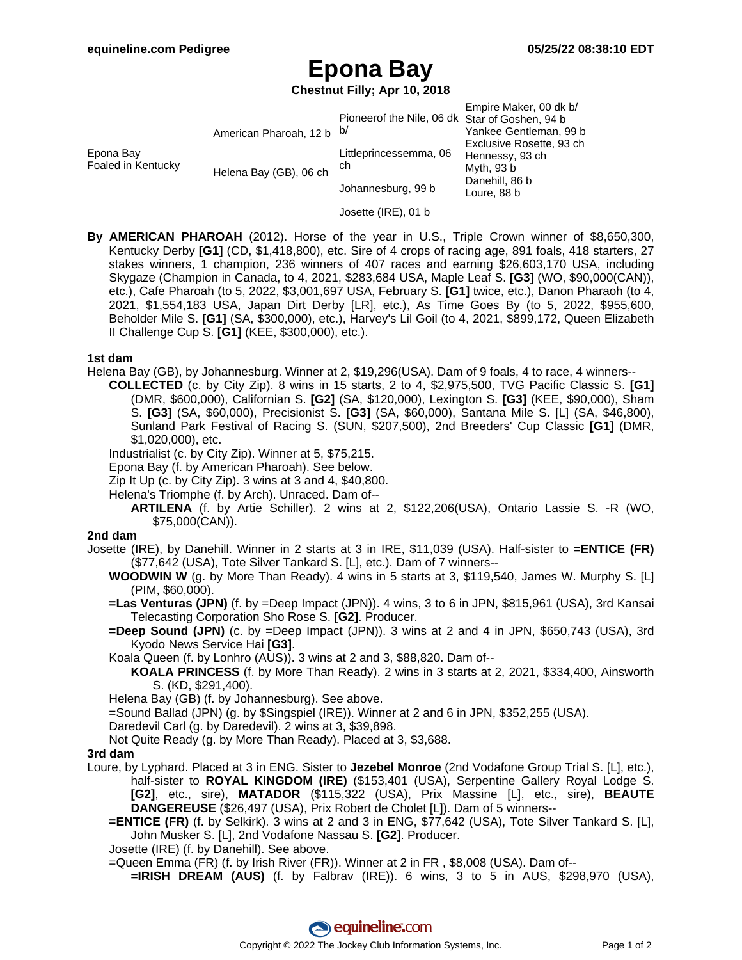# **Epona Bay**

**Chestnut Filly; Apr 10, 2018**

|                                 |                           |                                                | Empire Maker, 00 dk b/   |
|---------------------------------|---------------------------|------------------------------------------------|--------------------------|
|                                 |                           | Pioneerof the Nile, 06 dk Star of Goshen, 94 b |                          |
| Epona Bay<br>Foaled in Kentucky | American Pharoah, 12 b b/ |                                                | Yankee Gentleman, 99 b   |
|                                 |                           | Littleprincessemma, 06<br>ch                   | Exclusive Rosette, 93 ch |
|                                 | Helena Bay (GB), 06 ch    |                                                | Hennessy, 93 ch          |
|                                 |                           |                                                | Myth, 93 b               |
|                                 |                           | Johannesburg, 99 b                             | Danehill, 86 b           |
|                                 |                           |                                                | Loure, 88 b              |

- Josette (IRE), 01 b
- **By AMERICAN PHAROAH** (2012). Horse of the year in U.S., Triple Crown winner of \$8,650,300, Kentucky Derby **[G1]** (CD, \$1,418,800), etc. Sire of 4 crops of racing age, 891 foals, 418 starters, 27 stakes winners, 1 champion, 236 winners of 407 races and earning \$26,603,170 USA, including Skygaze (Champion in Canada, to 4, 2021, \$283,684 USA, Maple Leaf S. **[G3]** (WO, \$90,000(CAN)), etc.), Cafe Pharoah (to 5, 2022, \$3,001,697 USA, February S. **[G1]** twice, etc.), Danon Pharaoh (to 4, 2021, \$1,554,183 USA, Japan Dirt Derby [LR], etc.), As Time Goes By (to 5, 2022, \$955,600, Beholder Mile S. **[G1]** (SA, \$300,000), etc.), Harvey's Lil Goil (to 4, 2021, \$899,172, Queen Elizabeth II Challenge Cup S. **[G1]** (KEE, \$300,000), etc.).

#### **1st dam**

Helena Bay (GB), by Johannesburg. Winner at 2, \$19,296(USA). Dam of 9 foals, 4 to race, 4 winners--

- **COLLECTED** (c. by City Zip). 8 wins in 15 starts, 2 to 4, \$2,975,500, TVG Pacific Classic S. **[G1]** (DMR, \$600,000), Californian S. **[G2]** (SA, \$120,000), Lexington S. **[G3]** (KEE, \$90,000), Sham S. **[G3]** (SA, \$60,000), Precisionist S. **[G3]** (SA, \$60,000), Santana Mile S. [L] (SA, \$46,800), Sunland Park Festival of Racing S. (SUN, \$207,500), 2nd Breeders' Cup Classic **[G1]** (DMR, \$1,020,000), etc.
- Industrialist (c. by City Zip). Winner at 5, \$75,215.
- Epona Bay (f. by American Pharoah). See below.
- Zip It Up (c. by City Zip). 3 wins at 3 and 4,  $$40,800$ .
- Helena's Triomphe (f. by Arch). Unraced. Dam of--
	- **ARTILENA** (f. by Artie Schiller). 2 wins at 2, \$122,206(USA), Ontario Lassie S. -R (WO, \$75,000(CAN)).

### **2nd dam**

- Josette (IRE), by Danehill. Winner in 2 starts at 3 in IRE, \$11,039 (USA). Half-sister to **=ENTICE (FR)** (\$77,642 (USA), Tote Silver Tankard S. [L], etc.). Dam of 7 winners--
	- **WOODWIN W** (g. by More Than Ready). 4 wins in 5 starts at 3, \$119,540, James W. Murphy S. [L] (PIM, \$60,000).
	- **=Las Venturas (JPN)** (f. by =Deep Impact (JPN)). 4 wins, 3 to 6 in JPN, \$815,961 (USA), 3rd Kansai Telecasting Corporation Sho Rose S. **[G2]**. Producer.
	- **=Deep Sound (JPN)** (c. by =Deep Impact (JPN)). 3 wins at 2 and 4 in JPN, \$650,743 (USA), 3rd Kyodo News Service Hai **[G3]**.
	- Koala Queen (f. by Lonhro (AUS)). 3 wins at 2 and 3, \$88,820. Dam of--
	- **KOALA PRINCESS** (f. by More Than Ready). 2 wins in 3 starts at 2, 2021, \$334,400, Ainsworth S. (KD, \$291,400).

Helena Bay (GB) (f. by Johannesburg). See above.

- =Sound Ballad (JPN) (g. by \$Singspiel (IRE)). Winner at 2 and 6 in JPN, \$352,255 (USA).
- Daredevil Carl (g. by Daredevil). 2 wins at 3, \$39,898.
- Not Quite Ready (g. by More Than Ready). Placed at 3, \$3,688.

### **3rd dam**

- Loure, by Lyphard. Placed at 3 in ENG. Sister to **Jezebel Monroe** (2nd Vodafone Group Trial S. [L], etc.), half-sister to **ROYAL KINGDOM (IRE)** (\$153,401 (USA), Serpentine Gallery Royal Lodge S. **[G2]**, etc., sire), **MATADOR** (\$115,322 (USA), Prix Massine [L], etc., sire), **BEAUTE DANGEREUSE** (\$26,497 (USA), Prix Robert de Cholet [L]). Dam of 5 winners--
	- **=ENTICE (FR)** (f. by Selkirk). 3 wins at 2 and 3 in ENG, \$77,642 (USA), Tote Silver Tankard S. [L], John Musker S. [L], 2nd Vodafone Nassau S. **[G2]**. Producer.
	- Josette (IRE) (f. by Danehill). See above.
	- =Queen Emma (FR) (f. by Irish River (FR)). Winner at 2 in FR , \$8,008 (USA). Dam of--
		- **=IRISH DREAM (AUS)** (f. by Falbrav (IRE)). 6 wins, 3 to 5 in AUS, \$298,970 (USA),